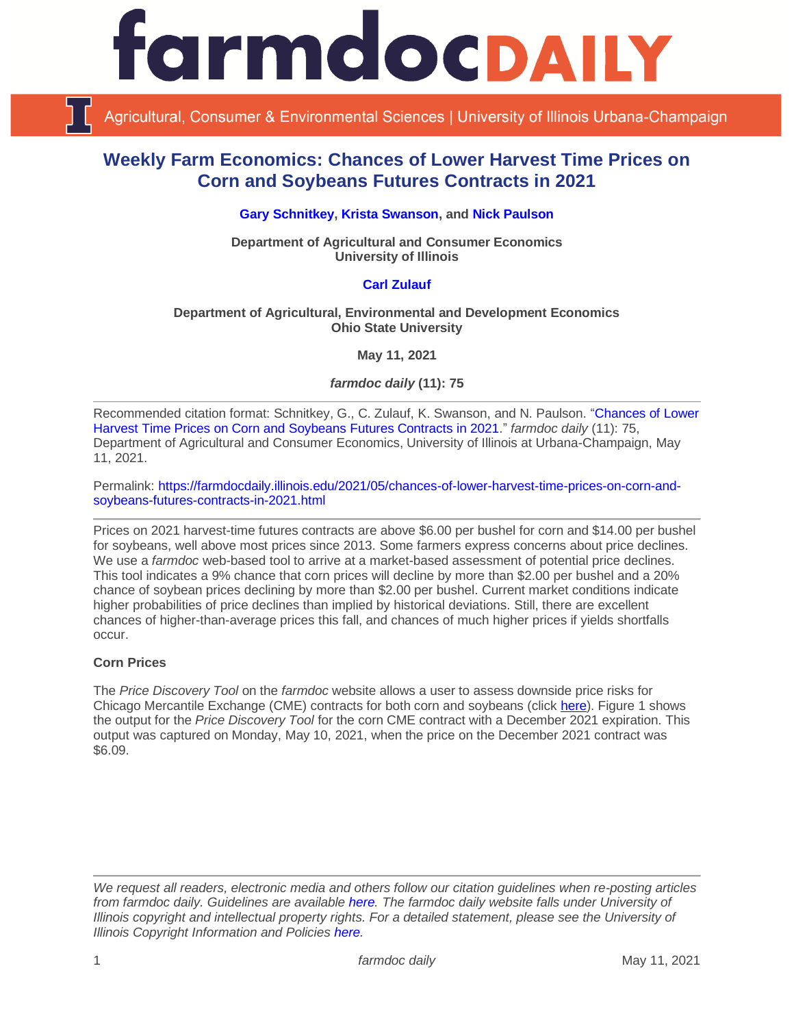

Agricultural, Consumer & Environmental Sciences | University of Illinois Urbana-Champaign

# **Weekly Farm Economics: Chances of Lower Harvest Time Prices on Corn and Soybeans Futures Contracts in 2021**

**[Gary Schnitkey,](https://ace.illinois.edu/directory/schnitke) [Krista Swanson,](https://ace.illinois.edu/directory/krista) and [Nick Paulson](https://ace.illinois.edu/directory/npaulson)**

**Department of Agricultural and Consumer Economics University of Illinois**

# **[Carl Zulauf](http://aede.osu.edu/our-people/carl-zulauf)**

#### **Department of Agricultural, Environmental and Development Economics Ohio State University**

**May 11, 2021**

*farmdoc daily* **(11): 75**

Recommended citation format: Schnitkey, G., C. Zulauf, K. Swanson, and N. Paulson. ["Chances of Lower](https://farmdocdaily.illinois.edu/2021/05/chances-of-lower-harvest-time-prices-on-corn-and-soybeans-futures-contracts-in-2021.html)  [Harvest Time Prices on Corn and Soybeans Futures Contracts in 2021.](https://farmdocdaily.illinois.edu/2021/05/chances-of-lower-harvest-time-prices-on-corn-and-soybeans-futures-contracts-in-2021.html)" *farmdoc daily* (11): 75, Department of Agricultural and Consumer Economics, University of Illinois at Urbana-Champaign, May 11, 2021.

Permalink: [https://farmdocdaily.illinois.edu/2021/05/chances-of-lower-harvest-time-prices-on-corn-and](https://farmdocdaily.illinois.edu/2021/05/chances-of-lower-harvest-time-prices-on-corn-and-soybeans-futures-contracts-in-2021.html)[soybeans-futures-contracts-in-2021.html](https://farmdocdaily.illinois.edu/2021/05/chances-of-lower-harvest-time-prices-on-corn-and-soybeans-futures-contracts-in-2021.html)

Prices on 2021 harvest-time futures contracts are above \$6.00 per bushel for corn and \$14.00 per bushel for soybeans, well above most prices since 2013. Some farmers express concerns about price declines. We use a *farmdoc* web-based tool to arrive at a market-based assessment of potential price declines. This tool indicates a 9% chance that corn prices will decline by more than \$2.00 per bushel and a 20% chance of soybean prices declining by more than \$2.00 per bushel. Current market conditions indicate higher probabilities of price declines than implied by historical deviations. Still, there are excellent chances of higher-than-average prices this fall, and chances of much higher prices if yields shortfalls occur.

## **Corn Prices**

The *Price Discovery Tool* on the *farmdoc* website allows a user to assess downside price risks for Chicago Mercantile Exchange (CME) contracts for both corn and soybeans (click [here\)](https://fd-tools.ncsa.illinois.edu/pricedistribution). Figure 1 shows the output for the *Price Discovery Tool* for the corn CME contract with a December 2021 expiration. This output was captured on Monday, May 10, 2021, when the price on the December 2021 contract was \$6.09.

*We request all readers, electronic media and others follow our citation guidelines when re-posting articles from farmdoc daily. Guidelines are available [here.](http://farmdocdaily.illinois.edu/citationguide.html) The farmdoc daily website falls under University of Illinois copyright and intellectual property rights. For a detailed statement, please see the University of Illinois Copyright Information and Policies [here.](http://www.cio.illinois.edu/policies/copyright/)*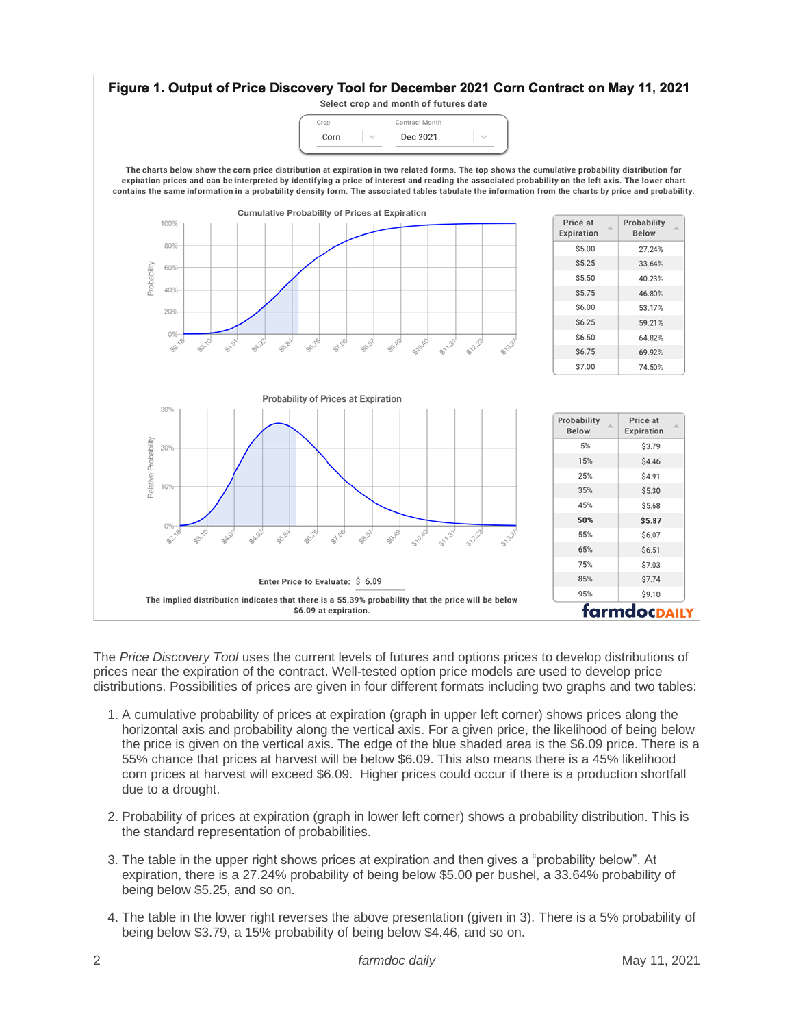

The *Price Discovery Tool* uses the current levels of futures and options prices to develop distributions of prices near the expiration of the contract. Well-tested option price models are used to develop price distributions. Possibilities of prices are given in four different formats including two graphs and two tables:

- 1. A cumulative probability of prices at expiration (graph in upper left corner) shows prices along the horizontal axis and probability along the vertical axis. For a given price, the likelihood of being below the price is given on the vertical axis. The edge of the blue shaded area is the \$6.09 price. There is a 55% chance that prices at harvest will be below \$6.09. This also means there is a 45% likelihood corn prices at harvest will exceed \$6.09. Higher prices could occur if there is a production shortfall due to a drought.
- 2. Probability of prices at expiration (graph in lower left corner) shows a probability distribution. This is the standard representation of probabilities.
- 3. The table in the upper right shows prices at expiration and then gives a "probability below". At expiration, there is a 27.24% probability of being below \$5.00 per bushel, a 33.64% probability of being below \$5.25, and so on.
- 4. The table in the lower right reverses the above presentation (given in 3). There is a 5% probability of being below \$3.79, a 15% probability of being below \$4.46, and so on.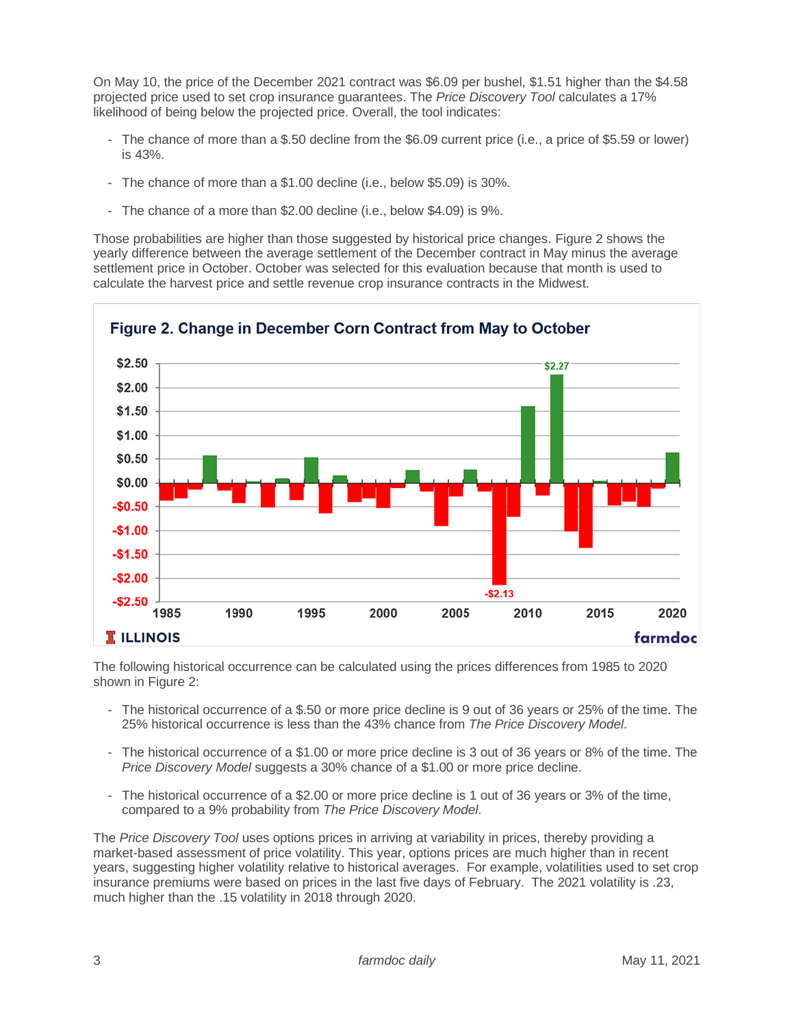On May 10, the price of the December 2021 contract was \$6.09 per bushel, \$1.51 higher than the \$4.58 projected price used to set crop insurance guarantees. The *Price Discovery Tool* calculates a 17% likelihood of being below the projected price. Overall, the tool indicates:

- The chance of more than a \$.50 decline from the \$6.09 current price (i.e., a price of \$5.59 or lower) is 43%.
- The chance of more than a \$1.00 decline (i.e., below \$5.09) is 30%.
- The chance of a more than \$2.00 decline (i.e., below \$4.09) is 9%.

Those probabilities are higher than those suggested by historical price changes. Figure 2 shows the yearly difference between the average settlement of the December contract in May minus the average settlement price in October. October was selected for this evaluation because that month is used to calculate the harvest price and settle revenue crop insurance contracts in the Midwest.



The following historical occurrence can be calculated using the prices differences from 1985 to 2020 shown in Figure 2:

- The historical occurrence of a \$.50 or more price decline is 9 out of 36 years or 25% of the time. The 25% historical occurrence is less than the 43% chance from *The Price Discovery Model*.
- The historical occurrence of a \$1.00 or more price decline is 3 out of 36 years or 8% of the time. The *Price Discovery Model* suggests a 30% chance of a \$1.00 or more price decline.
- The historical occurrence of a \$2.00 or more price decline is 1 out of 36 years or 3% of the time, compared to a 9% probability from *The Price Discovery Model*.

The *Price Discovery Tool* uses options prices in arriving at variability in prices, thereby providing a market-based assessment of price volatility. This year, options prices are much higher than in recent years, suggesting higher volatility relative to historical averages. For example, volatilities used to set crop insurance premiums were based on prices in the last five days of February. The 2021 volatility is .23, much higher than the .15 volatility in 2018 through 2020.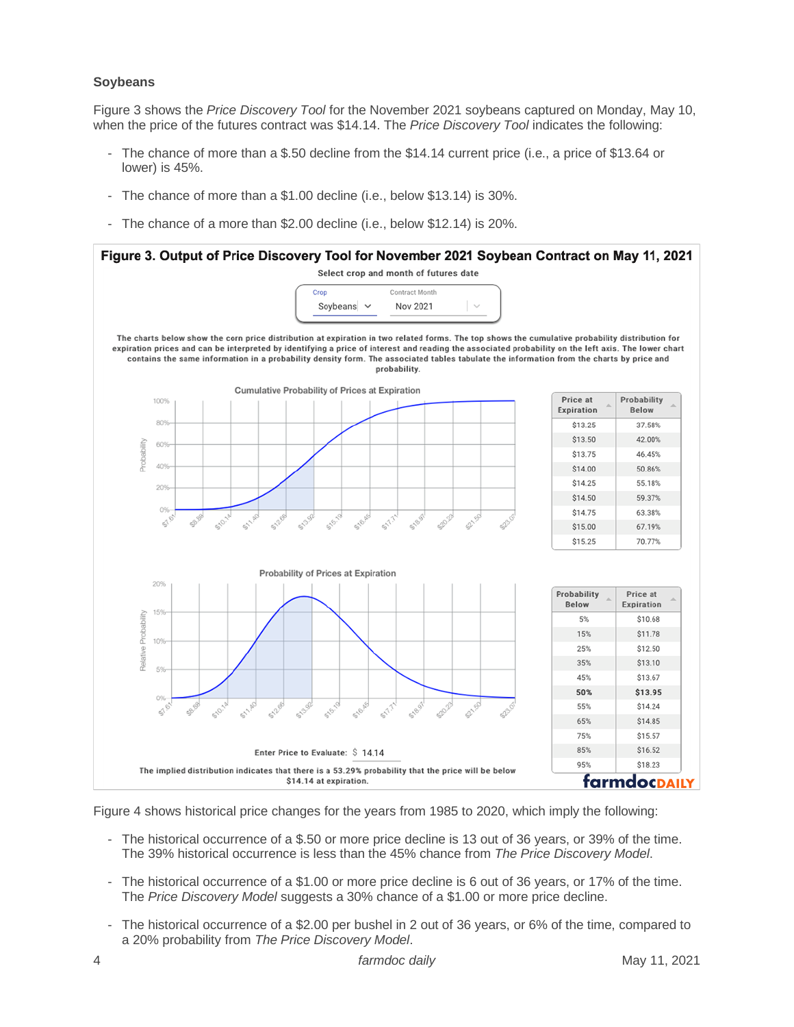#### **Soybeans**

Figure 3 shows the *Price Discovery Tool* for the November 2021 soybeans captured on Monday, May 10, when the price of the futures contract was \$14.14. The *Price Discovery Tool* indicates the following:

- The chance of more than a \$.50 decline from the \$14.14 current price (i.e., a price of \$13.64 or lower) is 45%.
- The chance of more than a \$1.00 decline (i.e., below \$13.14) is 30%.
- The chance of a more than \$2.00 decline (i.e., below \$12.14) is 20%.



Figure 4 shows historical price changes for the years from 1985 to 2020, which imply the following:

- The historical occurrence of a \$.50 or more price decline is 13 out of 36 years, or 39% of the time. The 39% historical occurrence is less than the 45% chance from *The Price Discovery Model*.
- The historical occurrence of a \$1.00 or more price decline is 6 out of 36 years, or 17% of the time. The *Price Discovery Model* suggests a 30% chance of a \$1.00 or more price decline.
- The historical occurrence of a \$2.00 per bushel in 2 out of 36 years, or 6% of the time, compared to a 20% probability from *The Price Discovery Model*.